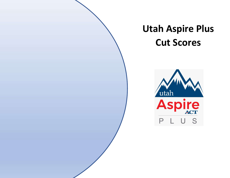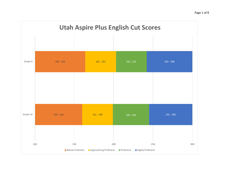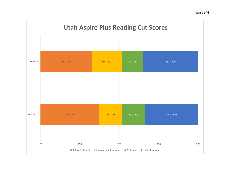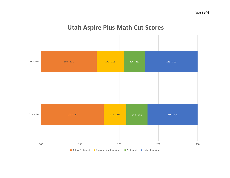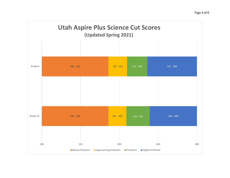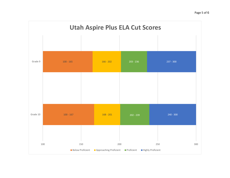